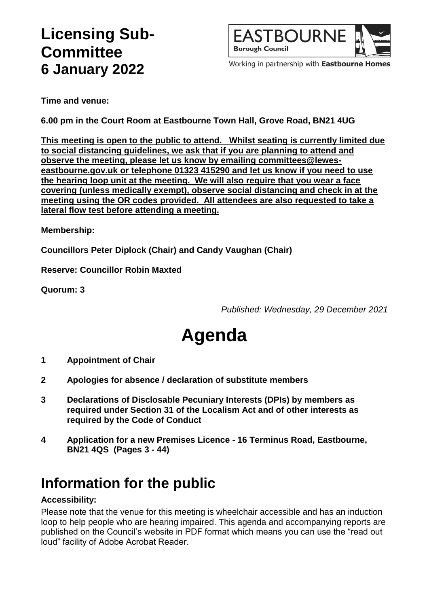## **Licensing Sub-Committee 6 January 2022**



Working in partnership with Eastbourne Homes

**Time and venue:**

**6.00 pm in the Court Room at Eastbourne Town Hall, Grove Road, BN21 4UG**

**This meeting is open to the public to attend. Whilst seating is currently limited due to social distancing guidelines, we ask that if you are planning to attend and observe the meeting, please let us know by emailing committees@leweseastbourne.gov.uk or telephone 01323 415290 and let us know if you need to use the hearing loop unit at the meeting. We will also require that you wear a face covering (unless medically exempt), observe social distancing and check in at the meeting using the OR codes provided. All attendees are also requested to take a lateral flow test before attending a meeting.**

**Membership:**

**Councillors Peter Diplock (Chair) and Candy Vaughan (Chair)**

**Reserve: Councillor Robin Maxted**

**Quorum: 3**

*Published: Wednesday, 29 December 2021*

# **Agenda**

- **1 Appointment of Chair**
- **2 Apologies for absence / declaration of substitute members**
- **3 Declarations of Disclosable Pecuniary Interests (DPIs) by members as required under Section 31 of the Localism Act and of other interests as required by the Code of Conduct**
- **4 Application for a new Premises Licence - 16 Terminus Road, Eastbourne, BN21 4QS (Pages 3 - 44)**

### **Information for the public**

#### **Accessibility:**

Please note that the venue for this meeting is wheelchair accessible and has an induction loop to help people who are hearing impaired. This agenda and accompanying reports are published on the Council's website in PDF format which means you can use the "read out loud" facility of Adobe Acrobat Reader.